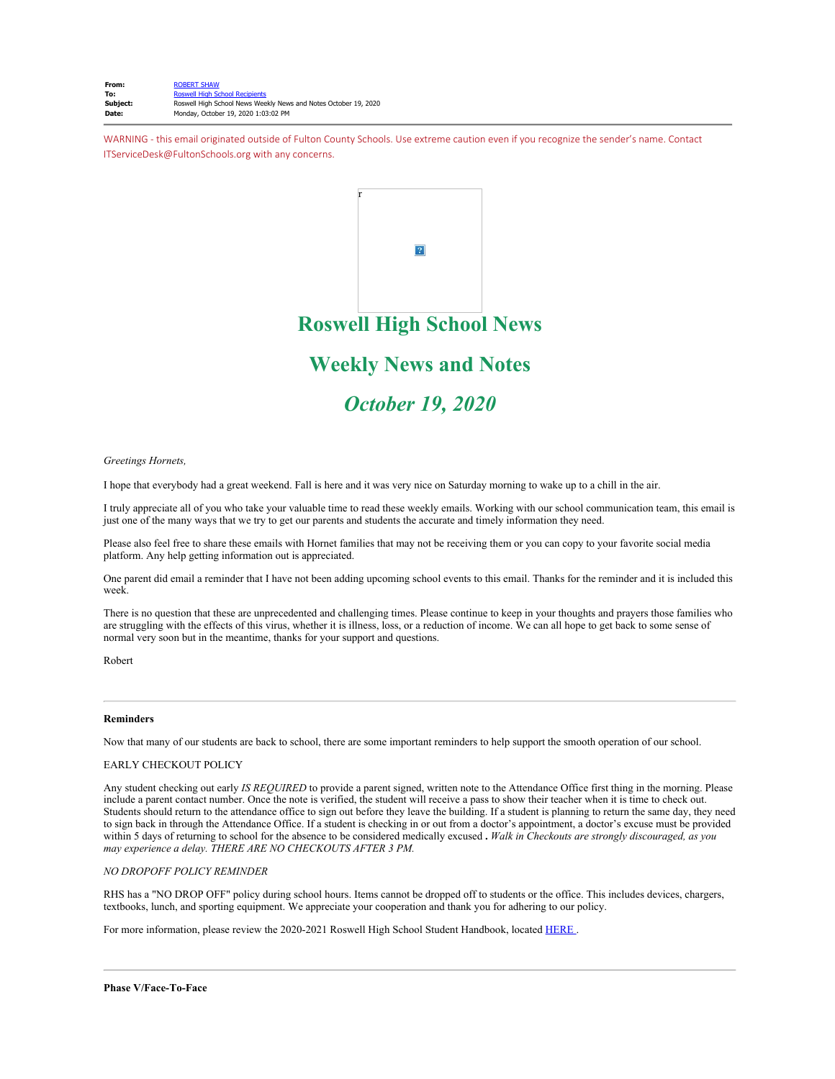WARNING - this email originated outside of Fulton County Schools. Use extreme caution even if you recognize the sender's name. Contact ITServiceDesk@FultonSchools.org with any concerns.



*Greetings Hornets,* 

I hope that everybody had a great weekend. Fall is here and it was very nice on Saturday morning to wake up to a chill in the air.

I truly appreciate all of you who take your valuable time to read these weekly emails. Working with our school communication team, this email is just one of the many ways that we try to get our parents and students the accurate and timely information they need.

Please also feel free to share these emails with Hornet families that may not be receiving them or you can copy to your favorite social media platform. Any help getting information out is appreciated.

One parent did email a reminder that I have not been adding upcoming school events to this email. Thanks for the reminder and it is included this week.

There is no question that these are unprecedented and challenging times. Please continue to keep in your thoughts and prayers those families who are struggling with the effects of this virus, whether it is illness, loss, or a reduction of income. We can all hope to get back to some sense of normal very soon but in the meantime, thanks for your support and questions.

Robert

## **Reminders**

Now that many of our students are back to school, there are some important reminders to help support the smooth operation of our school.

### EARLY CHECKOUT POLICY

Any student checking out early *IS REQUIRED* to provide a parent signed, written note to the Attendance Office first thing in the morning. Please include a parent contact number. Once the note is verified, the student will receive a pass to show their teacher when it is time to check out. Students should return to the attendance office to sign out before they leave the building. If a student is planning to return the same day, they need to sign back in through the Attendance Office. If a student is checking in or out from a doctor's appointment, a doctor's excuse must be provided within 5 days of returning to school for the absence to be considered medically excused **.** *Walk in Checkouts are strongly discouraged, as you may experience a delay. THERE ARE NO CHECKOUTS AFTER 3 PM.*

## *NO DROPOFF POLICY REMINDER*

RHS has a "NO DROP OFF" policy during school hours. Items cannot be dropped off to students or the office. This includes devices, chargers, textbooks, lunch, and sporting equipment. We appreciate your cooperation and thank you for adhering to our policy.

For more information, please review the 2020-2021 Roswell High School Student Handbook, located [HERE](https://www.fultonschools.org/cms/lib/GA50000114/Centricity/Domain/5834/RHSstudentHandbook2020-21FINAL.pdf) .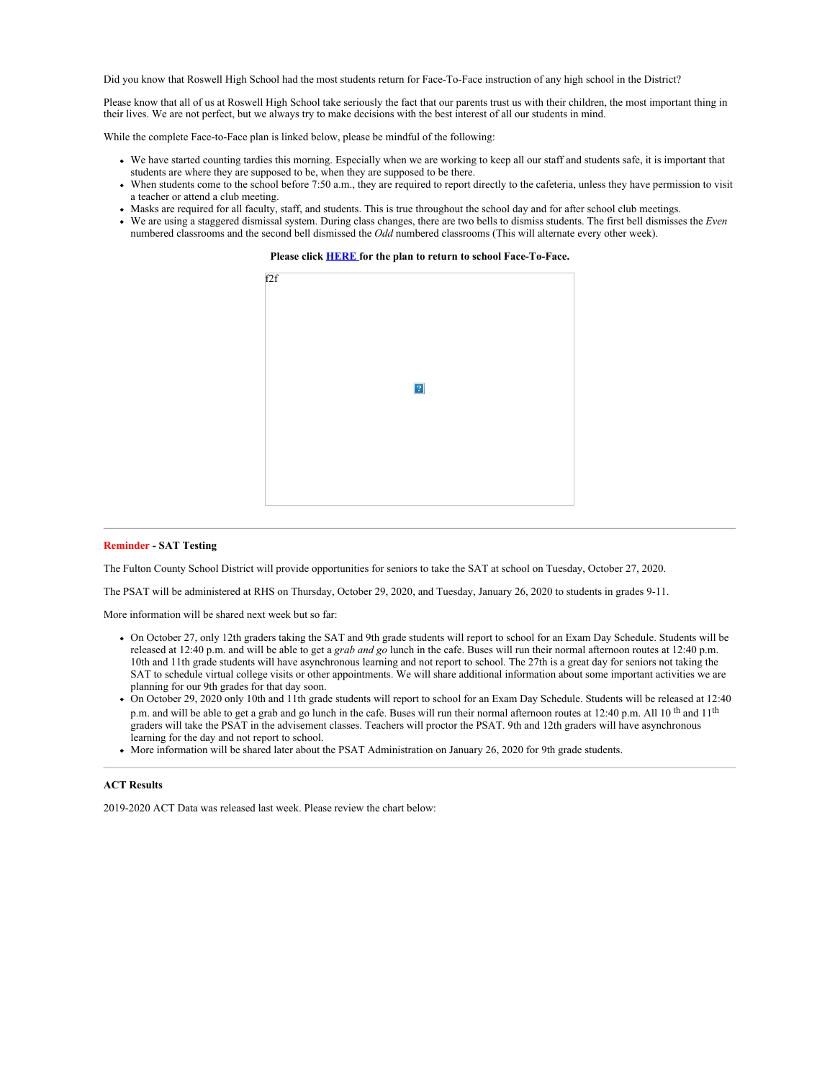Did you know that Roswell High School had the most students return for Face-To-Face instruction of any high school in the District?

Please know that all of us at Roswell High School take seriously the fact that our parents trust us with their children, the most important thing in their lives. We are not perfect, but we always try to make decisions with the best interest of all our students in mind.

While the complete Face-to-Face plan is linked below, please be mindful of the following:

- We have started counting tardies this morning. Especially when we are working to keep all our staff and students safe, it is important that students are where they are supposed to be, when they are supposed to be there.
- When students come to the school before 7:50 a.m., they are required to report directly to the cafeteria, unless they have permission to visit a teacher or attend a club meeting.
- Masks are required for all faculty, staff, and students. This is true throughout the school day and for after school club meetings.
- We are using a staggered dismissal system. During class changes, there are two bells to dismiss students. The first bell dismisses the *Even* numbered classrooms and the second bell dismissed the *Odd* numbered classrooms (This will alternate every other week).

**Please click [HERE](https://nam03.safelinks.protection.outlook.com/?url=http%3A%2F%2Fnew.shawadmin.com%2FRoswell%2FPublic%2FF2FPlanCommunity10-14-20.pdf&data=04%7C01%7Cmurphys%40fultonschools.org%7C00f323f64c204e67307a08d87450d35b%7C0cdcb19881694b70ba9fda7e3ba700c2%7C1%7C0%7C637387237814408625%7CUnknown%7CTWFpbGZsb3d8eyJWIjoiMC4wLjAwMDAiLCJQIjoiV2luMzIiLCJBTiI6Ik1haWwiLCJXVCI6Mn0%3D%7C1000&sdata=6Rjhh9HBh44tIyxJm1eQoRYeWjkLcLXMjHDwjugn8jY%3D&reserved=0) for the plan to return to school Face-To-Face.**



### **Reminder - SAT Testing**

The Fulton County School District will provide opportunities for seniors to take the SAT at school on Tuesday, October 27, 2020.

The PSAT will be administered at RHS on Thursday, October 29, 2020, and Tuesday, January 26, 2020 to students in grades 9-11.

More information will be shared next week but so far:

- On October 27, only 12th graders taking the SAT and 9th grade students will report to school for an Exam Day Schedule. Students will be released at 12:40 p.m. and will be able to get a *grab and go* lunch in the cafe. Buses will run their normal afternoon routes at 12:40 p.m. 10th and 11th grade students will have asynchronous learning and not report to school. The 27th is a great day for seniors not taking the SAT to schedule virtual college visits or other appointments. We will share additional information about some important activities we are planning for our 9th grades for that day soon.
- On October 29, 2020 only 10th and 11th grade students will report to school for an Exam Day Schedule. Students will be released at 12:40 p.m. and will be able to get a grab and go lunch in the cafe. Buses will run their normal afternoon routes at 12:40 p.m. All 10<sup>th</sup> and 11<sup>th</sup> graders will take the PSAT in the advisement classes. Teachers will proctor the PSAT. 9th and 12th graders will have asynchronous learning for the day and not report to school.
- More information will be shared later about the PSAT Administration on January 26, 2020 for 9th grade students.

# **ACT Results**

2019-2020 ACT Data was released last week. Please review the chart below: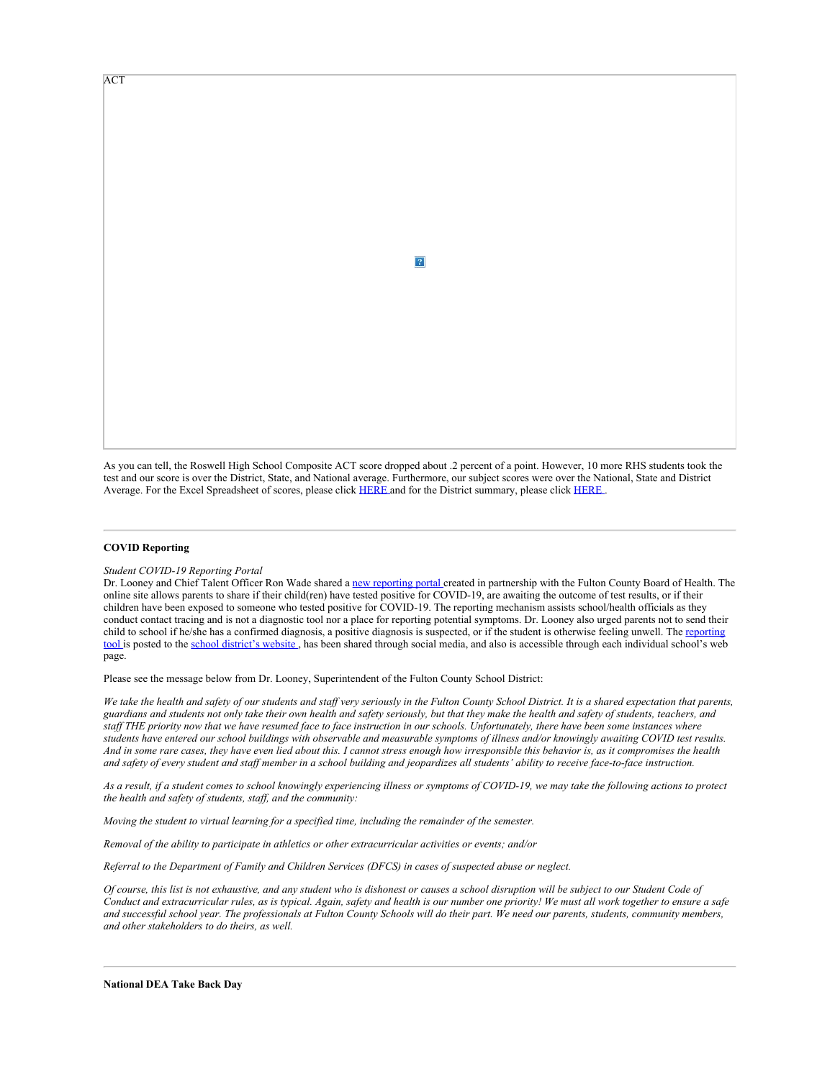ACT

As you can tell, the Roswell High School Composite ACT score dropped about .2 percent of a point. However, 10 more RHS students took the test and our score is over the District, State, and National average. Furthermore, our subject scores were over the National, State and District Average. For the Excel Spreadsheet of scores, please click [HERE](file:///E:/Robert%20Shaw/L/Letters/2020%20ACT%20Executive%20Summary_v2.pdf) and for the District summary, please click HERE.

 $\overline{?}$ 

# **COVID Reporting**

#### *Student COVID-19 Reporting Portal*

Dr. Looney and Chief Talent Officer Ron Wade shared a new [reporting](https://nam03.safelinks.protection.outlook.com/?url=https%3A%2F%2Ffultonschools.az1.qualtrics.com%2Fjfe%2Fform%2FSV_6hWlX46FNk8pNlz&data=04%7C01%7Cmurphys%40fultonschools.org%7C00f323f64c204e67307a08d87450d35b%7C0cdcb19881694b70ba9fda7e3ba700c2%7C1%7C0%7C637387237814418617%7CUnknown%7CTWFpbGZsb3d8eyJWIjoiMC4wLjAwMDAiLCJQIjoiV2luMzIiLCJBTiI6Ik1haWwiLCJXVCI6Mn0%3D%7C1000&sdata=BfJ0QASmY28OLxGqqsV5hFt6JO40VY8lnZm5Do4h6oY%3D&reserved=0) portal created in partnership with the Fulton County Board of Health. The online site allows parents to share if their child(ren) have tested positive for COVID-19, are awaiting the outcome of test results, or if their children have been exposed to someone who tested positive for COVID-19. The reporting mechanism assists school/health officials as they conduct contact tracing and is not a diagnostic tool nor a place for reporting potential symptoms. Dr. Looney also urged parents not to send their child to school if he/she has a confirmed diagnosis, a positive diagnosis is suspected, or if the student is otherwise feeling unwell. The [reporting](https://nam03.safelinks.protection.outlook.com/?url=https%3A%2F%2Ffultonschools.az1.qualtrics.com%2Fjfe%2Fform%2FSV_6hWlX46FNk8pNlz&data=04%7C01%7Cmurphys%40fultonschools.org%7C00f323f64c204e67307a08d87450d35b%7C0cdcb19881694b70ba9fda7e3ba700c2%7C1%7C0%7C637387237814418617%7CUnknown%7CTWFpbGZsb3d8eyJWIjoiMC4wLjAwMDAiLCJQIjoiV2luMzIiLCJBTiI6Ik1haWwiLCJXVCI6Mn0%3D%7C1000&sdata=BfJ0QASmY28OLxGqqsV5hFt6JO40VY8lnZm5Do4h6oY%3D&reserved=0) [tool](https://nam03.safelinks.protection.outlook.com/?url=https%3A%2F%2Ffultonschools.az1.qualtrics.com%2Fjfe%2Fform%2FSV_6hWlX46FNk8pNlz&data=04%7C01%7Cmurphys%40fultonschools.org%7C00f323f64c204e67307a08d87450d35b%7C0cdcb19881694b70ba9fda7e3ba700c2%7C1%7C0%7C637387237814418617%7CUnknown%7CTWFpbGZsb3d8eyJWIjoiMC4wLjAwMDAiLCJQIjoiV2luMzIiLCJBTiI6Ik1haWwiLCJXVCI6Mn0%3D%7C1000&sdata=BfJ0QASmY28OLxGqqsV5hFt6JO40VY8lnZm5Do4h6oY%3D&reserved=0) is posted to the school [district's](https://www.fultonschools.org/COVIDPortalFlyer) website, has been shared through social media, and also is accessible through each individual school's web page.

Please see the message below from Dr. Looney, Superintendent of the Fulton County School District:

*We take the health and safety of our students and staff very seriously in the Fulton County School District. It is a shared expectation that parents, guardians and students not only take their own health and safety seriously, but that they make the health and safety of students, teachers, and staff THE priority now that we have resumed face to face instruction in our schools. Unfortunately, there have been some instances where students have entered our school buildings with observable and measurable symptoms of illness and/or knowingly awaiting COVID test results. And in some rare cases, they have even lied about this. I cannot stress enough how irresponsible this behavior is, as it compromises the health and safety of every student and staff member in a school building and jeopardizes all students' ability to receive face-to-face instruction.*

*As a result, if a student comes to school knowingly experiencing illness or symptoms of COVID-19, we may take the following actions to protect the health and safety of students, staff, and the community:*

*Moving the student to virtual learning for a specified time, including the remainder of the semester.*

*Removal of the ability to participate in athletics or other extracurricular activities or events; and/or*

*Referral to the Department of Family and Children Services (DFCS) in cases of suspected abuse or neglect.*

*Of course, this list is not exhaustive, and any student who is dishonest or causes a school disruption will be subject to our Student Code of Conduct and extracurricular rules, as is typical. Again, safety and health is our number one priority! We must all work together to ensure a safe and successful school year. The professionals at Fulton County Schools will do their part. We need our parents, students, community members, and other stakeholders to do theirs, as well.*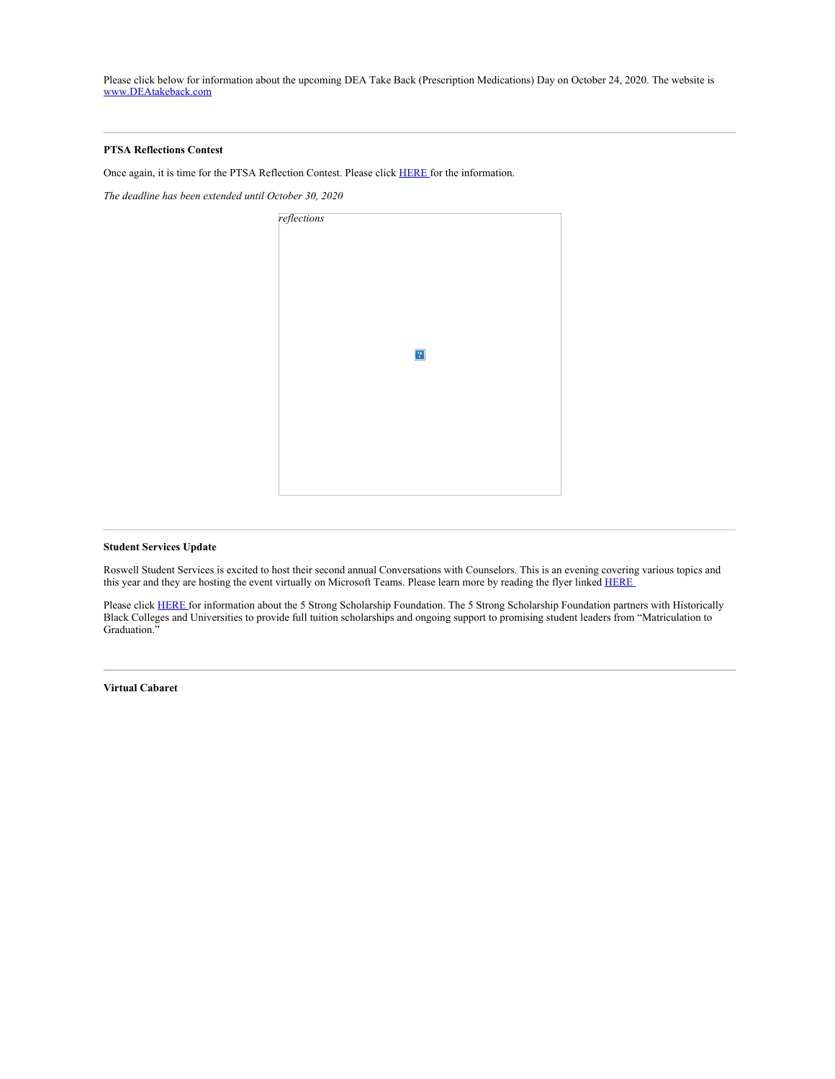Please click below for information about the upcoming DEA Take Back (Prescription Medications) Day on October 24, 2020. The website is [www.DEAtakeback.com](https://nam03.safelinks.protection.outlook.com/?url=http%3A%2F%2Fwww.deatakeback.com%2F&data=04%7C01%7Cmurphys%40fultonschools.org%7C00f323f64c204e67307a08d87450d35b%7C0cdcb19881694b70ba9fda7e3ba700c2%7C1%7C0%7C637387237814428612%7CUnknown%7CTWFpbGZsb3d8eyJWIjoiMC4wLjAwMDAiLCJQIjoiV2luMzIiLCJBTiI6Ik1haWwiLCJXVCI6Mn0%3D%7C1000&sdata=82kRElCLm%2B8X63skKy4EEm%2BoB3kyrX7BkV2FUgyuO%2BE%3D&reserved=0)

## **PTSA Reflections Contest**

Once again, it is time for the PTSA Reflection Contest. Please click [HERE](https://nam03.safelinks.protection.outlook.com/?url=http%3A%2F%2Fnew.shawadmin.com%2FRoswell%2FPublic%2Fga-pta-student-packet-2020-21-1.docx&data=04%7C01%7Cmurphys%40fultonschools.org%7C00f323f64c204e67307a08d87450d35b%7C0cdcb19881694b70ba9fda7e3ba700c2%7C1%7C0%7C637387237814428612%7CUnknown%7CTWFpbGZsb3d8eyJWIjoiMC4wLjAwMDAiLCJQIjoiV2luMzIiLCJBTiI6Ik1haWwiLCJXVCI6Mn0%3D%7C1000&sdata=nhG9zlSz0beiOlcrp6vwlgzAC%2FTcwqLGt9H7V%2BKGEFg%3D&reserved=0) for the information.

*The deadline has been extended until October 30, 2020*



# **Student Services Update**

Roswell Student Services is excited to host their second annual Conversations with Counselors. This is an evening covering various topics and this year and they are hosting the event virtually on Microsoft Teams. Please learn more by reading the flyer linked [HERE](https://nam03.safelinks.protection.outlook.com/?url=http%3A%2F%2Fnew.shawadmin.com%2FRoswell%2FPublic%2Fconversationswithcounselors.pdf&data=04%7C01%7Cmurphys%40fultonschools.org%7C00f323f64c204e67307a08d87450d35b%7C0cdcb19881694b70ba9fda7e3ba700c2%7C1%7C0%7C637387237814438600%7CUnknown%7CTWFpbGZsb3d8eyJWIjoiMC4wLjAwMDAiLCJQIjoiV2luMzIiLCJBTiI6Ik1haWwiLCJXVCI6Mn0%3D%7C1000&sdata=TFwsJ1W9LfFpDw2aGEuD98SQUUh%2FEKkqFpOLr4%2F7270%3D&reserved=0)

Please click [HERE](https://nam03.safelinks.protection.outlook.com/?url=http%3A%2F%2Fnew.shawadmin.com%2FRoswell%2FPublic%2F5strong.pdf&data=04%7C01%7Cmurphys%40fultonschools.org%7C00f323f64c204e67307a08d87450d35b%7C0cdcb19881694b70ba9fda7e3ba700c2%7C1%7C0%7C637387237814438600%7CUnknown%7CTWFpbGZsb3d8eyJWIjoiMC4wLjAwMDAiLCJQIjoiV2luMzIiLCJBTiI6Ik1haWwiLCJXVCI6Mn0%3D%7C1000&sdata=V9KdblVMFpOTQtu9khLJGgoNrzVkxGJxR%2BDyTpJMZ%2FQ%3D&reserved=0) for information about the 5 Strong Scholarship Foundation. The 5 Strong Scholarship Foundation partners with Historically Black Colleges and Universities to provide full tuition scholarships and ongoing support to promising student leaders from "Matriculation to Graduation."

**Virtual Cabaret**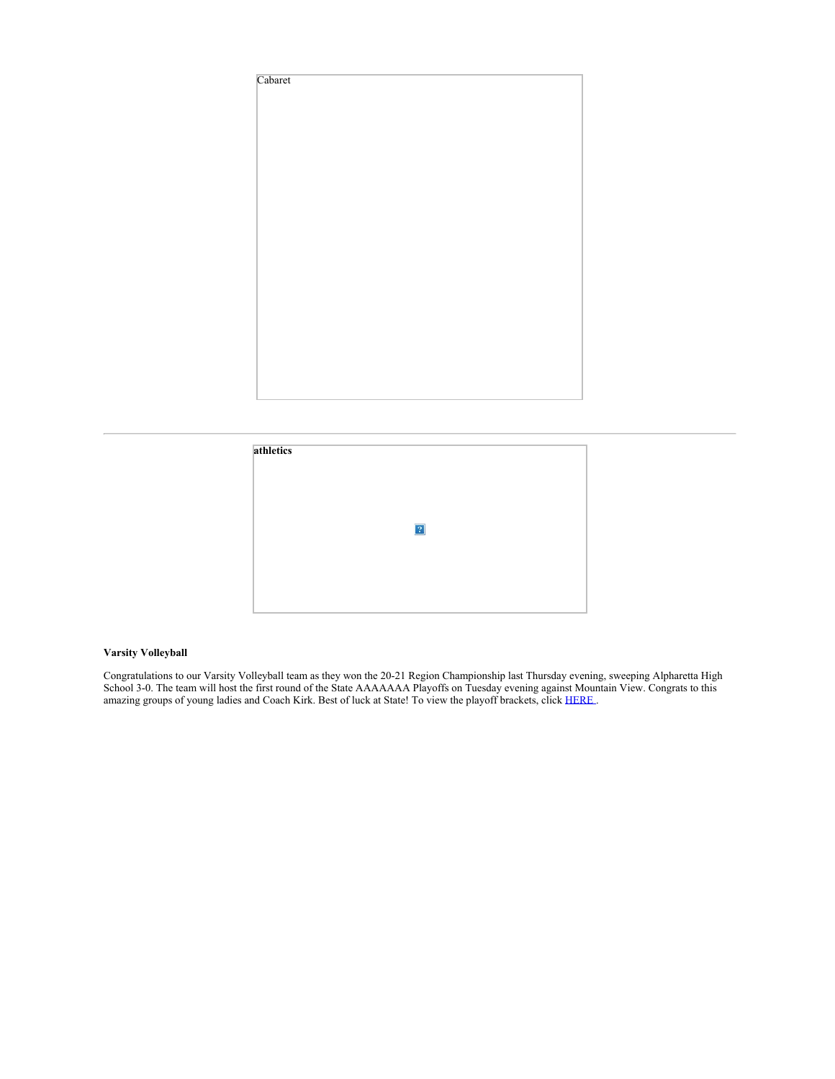



# **Varsity Volleyball**

Congratulations to our Varsity Volleyball team as they won the 20-21 Region Championship last Thursday evening, sweeping Alpharetta High School 3-0. The team will host the first round of the State AAAAAAA Playoffs on Tuesday evening against Mountain View. Congrats to this amazing groups of young ladies and Coach Kirk. Best of luck at State! To view the playoff brackets, click [HERE](https://nam03.safelinks.protection.outlook.com/?url=https%3A%2F%2Fwww.ghsa.net%2F2020-2021-ghsa-class-aaaaaaa-state-volleyball-championship-bracket&data=04%7C01%7Cmurphys%40fultonschools.org%7C00f323f64c204e67307a08d87450d35b%7C0cdcb19881694b70ba9fda7e3ba700c2%7C1%7C0%7C637387237814448596%7CUnknown%7CTWFpbGZsb3d8eyJWIjoiMC4wLjAwMDAiLCJQIjoiV2luMzIiLCJBTiI6Ik1haWwiLCJXVCI6Mn0%3D%7C1000&sdata=E8cRRlYNp5cMa6SgX4vF7W9L8if3WbD1IF3jyWzAthQ%3D&reserved=0).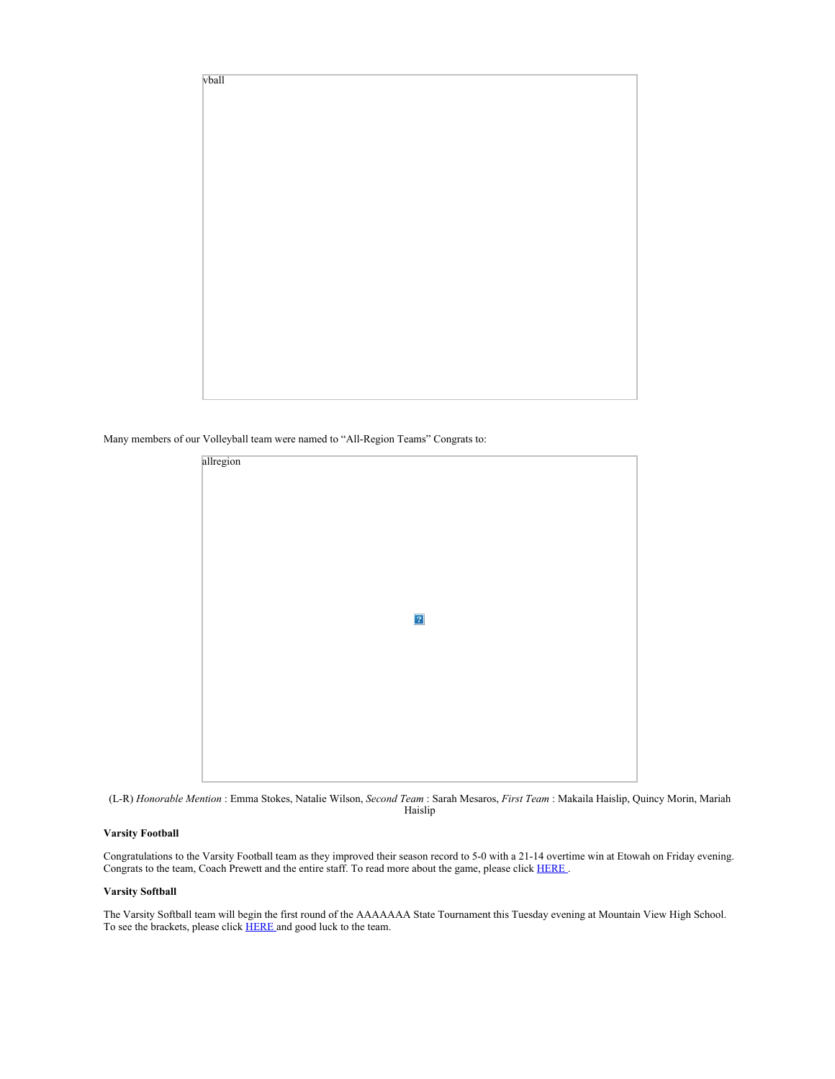

Many members of our Volleyball team were named to "All-Region Teams" Congrats to:

| $\boxed{?}$ |           |  |  |
|-------------|-----------|--|--|
|             | allregion |  |  |
|             |           |  |  |
|             |           |  |  |
|             |           |  |  |
|             |           |  |  |
|             |           |  |  |
|             |           |  |  |
|             |           |  |  |
|             |           |  |  |
|             |           |  |  |
|             |           |  |  |
|             |           |  |  |
|             |           |  |  |
|             |           |  |  |
|             |           |  |  |
|             |           |  |  |
|             |           |  |  |
|             |           |  |  |
|             |           |  |  |
|             |           |  |  |
|             |           |  |  |
|             |           |  |  |
|             |           |  |  |
|             |           |  |  |
|             |           |  |  |
|             |           |  |  |
|             |           |  |  |
|             |           |  |  |
|             |           |  |  |
|             |           |  |  |



## **Varsity Football**

Congratulations to the Varsity Football team as they improved their season record to 5-0 with a 21-14 overtime win at Etowah on Friday evening. Congrats to the team, Coach Prewett and the entire staff. To read more about the game, please click [HERE](https://nam03.safelinks.protection.outlook.com/?url=https%3A%2F%2Fwww.tribuneledgernews.com%2Fsports%2Froswell-holds-off-etowah%2Farticle_74236b14-1023-11eb-ab4a-1395f8da2287.html&data=04%7C01%7Cmurphys%40fultonschools.org%7C00f323f64c204e67307a08d87450d35b%7C0cdcb19881694b70ba9fda7e3ba700c2%7C1%7C0%7C637387237814448596%7CUnknown%7CTWFpbGZsb3d8eyJWIjoiMC4wLjAwMDAiLCJQIjoiV2luMzIiLCJBTiI6Ik1haWwiLCJXVCI6Mn0%3D%7C1000&sdata=Nd9gEyo6Xhh2dcWkIaD%2BzC0PyPph6R49E79pkR%2B8ifc%3D&reserved=0) .

# **Varsity Softball**

The Varsity Softball team will begin the first round of the AAAAAAA State Tournament this Tuesday evening at Mountain View High School. To see the brackets, please click **[HERE](https://nam03.safelinks.protection.outlook.com/?url=https%3A%2F%2Fwww.ghsa.net%2F2020-2021-ghsa-class-aaaaaaa-state-fast-pitch-softball-playoffs-bracket&data=04%7C01%7Cmurphys%40fultonschools.org%7C00f323f64c204e67307a08d87450d35b%7C0cdcb19881694b70ba9fda7e3ba700c2%7C1%7C0%7C637387237814458589%7CUnknown%7CTWFpbGZsb3d8eyJWIjoiMC4wLjAwMDAiLCJQIjoiV2luMzIiLCJBTiI6Ik1haWwiLCJXVCI6Mn0%3D%7C1000&sdata=Mgcb25JdOk1%2FzuCWiO39a2Hp4e62pgLr2ypBjdOheXk%3D&reserved=0)** and good luck to the team.